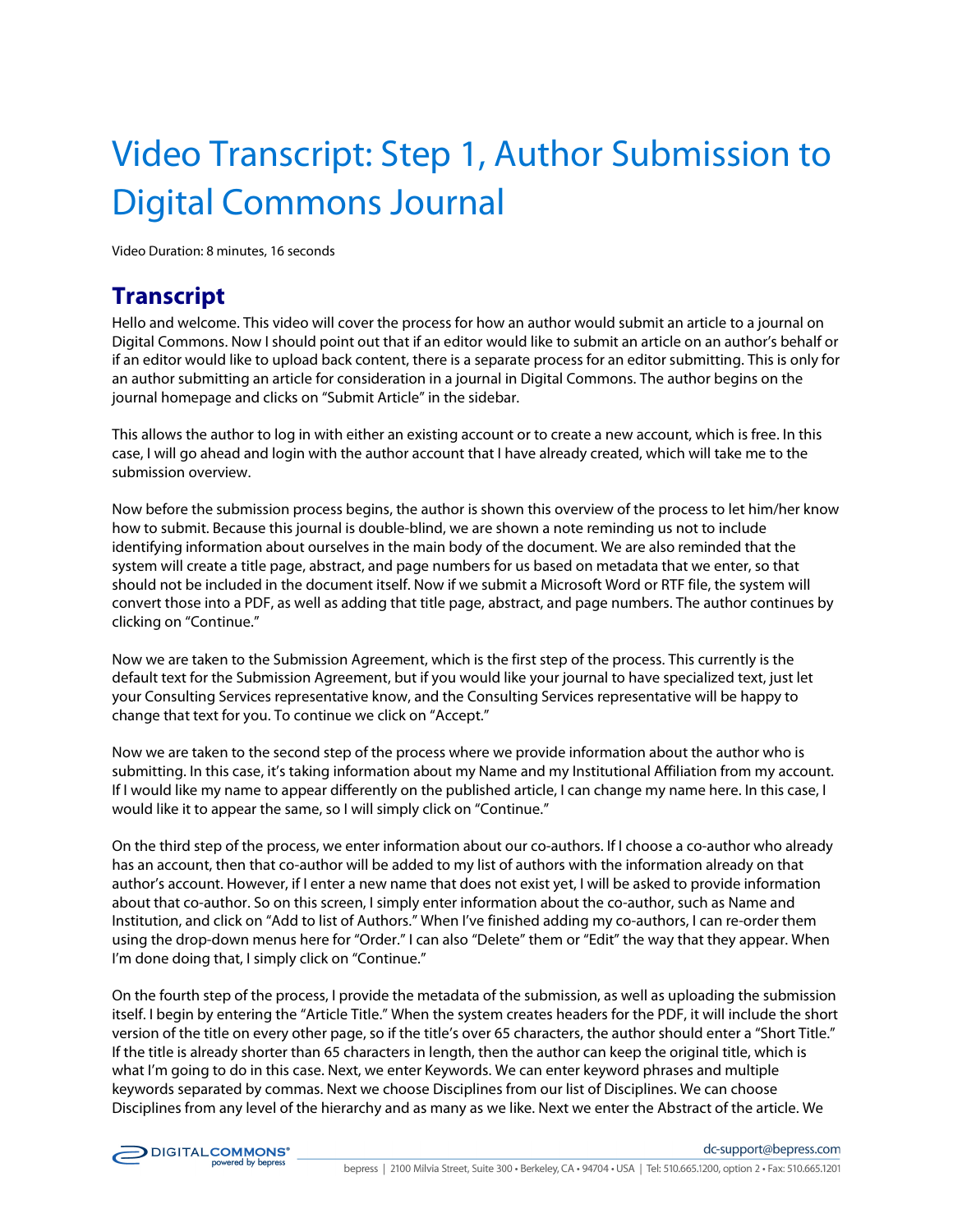## Video Transcript: Step 1, Author Submission to Digital Commons Journal

Video Duration: 8 minutes, 16 seconds

## **Transcript**

Hello and welcome. This video will cover the process for how an author would submit an article to a journal on Digital Commons. Now I should point out that if an editor would like to submit an article on an author's behalf or if an editor would like to upload back content, there is a separate process for an editor submitting. This is only for an author submitting an article for consideration in a journal in Digital Commons. The author begins on the journal homepage and clicks on "Submit Article" in the sidebar.

This allows the author to log in with either an existing account or to create a new account, which is free. In this case, I will go ahead and login with the author account that I have already created, which will take me to the submission overview.

Now before the submission process begins, the author is shown this overview of the process to let him/her know how to submit. Because this journal is double-blind, we are shown a note reminding us not to include identifying information about ourselves in the main body of the document. We are also reminded that the system will create a title page, abstract, and page numbers for us based on metadata that we enter, so that should not be included in the document itself. Now if we submit a Microsoft Word or RTF file, the system will convert those into a PDF, as well as adding that title page, abstract, and page numbers. The author continues by clicking on "Continue."

Now we are taken to the Submission Agreement, which is the first step of the process. This currently is the default text for the Submission Agreement, but if you would like your journal to have specialized text, just let your Consulting Services representative know, and the Consulting Services representative will be happy to change that text for you. To continue we click on "Accept."

Now we are taken to the second step of the process where we provide information about the author who is submitting. In this case, it's taking information about my Name and my Institutional Affiliation from my account. If I would like my name to appear differently on the published article, I can change my name here. In this case, I would like it to appear the same, so I will simply click on "Continue."

On the third step of the process, we enter information about our co-authors. If I choose a co-author who already has an account, then that co-author will be added to my list of authors with the information already on that author's account. However, if I enter a new name that does not exist yet, I will be asked to provide information about that co-author. So on this screen, I simply enter information about the co-author, such as Name and Institution, and click on "Add to list of Authors." When I've finished adding my co-authors, I can re-order them using the drop-down menus here for "Order." I can also "Delete" them or "Edit" the way that they appear. When I'm done doing that, I simply click on "Continue."

On the fourth step of the process, I provide the metadata of the submission, as well as uploading the submission itself. I begin by entering the "Article Title." When the system creates headers for the PDF, it will include the short version of the title on every other page, so if the title's over 65 characters, the author should enter a "Short Title." If the title is already shorter than 65 characters in length, then the author can keep the original title, which is what I'm going to do in this case. Next, we enter Keywords. We can enter keyword phrases and multiple keywords separated by commas. Next we choose Disciplines from our list of Disciplines. We can choose Disciplines from any level of the hierarchy and as many as we like. Next we enter the Abstract of the article. We